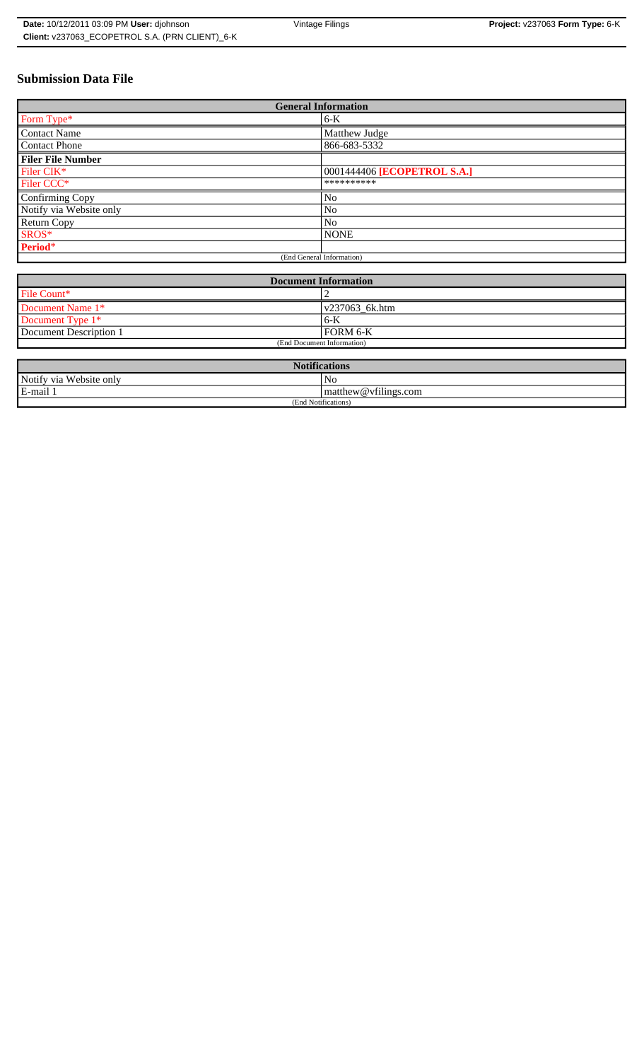| Date: 10/12/2011 03:09 PM User: djohnson        | Vintage Filings | <b>Project:</b> $v237063$ Form Type: $6-K$ |
|-------------------------------------------------|-----------------|--------------------------------------------|
| Client: v237063 ECOPETROL S.A. (PRN CLIENT) 6-K |                 |                                            |

# **Submission Data File**

| <b>General Information</b> |                             |  |
|----------------------------|-----------------------------|--|
| Form Type*                 | $6-K$                       |  |
| <b>Contact Name</b>        | Matthew Judge               |  |
| Contact Phone              | 866-683-5332                |  |
| <b>Filer File Number</b>   |                             |  |
| Filer CIK*                 | 0001444406 [ECOPETROL S.A.] |  |
| Filer CCC*                 | **********                  |  |
| <b>Confirming Copy</b>     | No                          |  |
| Notify via Website only    | N <sub>0</sub>              |  |
| <b>Return Copy</b>         | N <sub>o</sub>              |  |
| SROS*                      | <b>NONE</b>                 |  |
| Period*                    |                             |  |
| (End General Information)  |                             |  |

| <b>Document Information</b> |                |  |
|-----------------------------|----------------|--|
| File Count*                 |                |  |
| Document Name 1*            | v237063 6k.htm |  |
| Document Type 1*            | $6 - K$        |  |
| Document Description 1      | FORM 6-K       |  |
| (End Document Information)  |                |  |

| <b>Notifications</b>    |                     |  |
|-------------------------|---------------------|--|
| Notify via Website only | No                  |  |
| E-mail 1                | matrix@vfilings.com |  |
| (End Notifications)     |                     |  |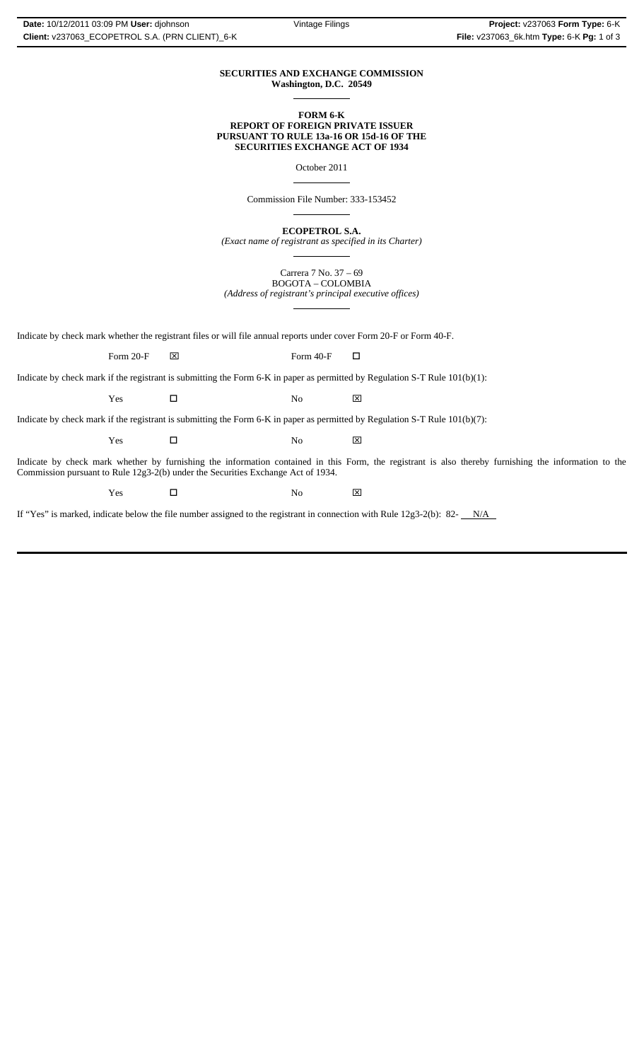#### **SECURITIES AND EXCHANGE COMMISSION Washington, D.C. 20549**  $\overline{a}$

## **FORM 6-K REPORT OF FOREIGN PRIVATE ISSUER PURSUANT TO RULE 13a-16 OR 15d-16 OF THE SECURITIES EXCHANGE ACT OF 1934**

October 2011

 $\overline{a}$ 

 $\overline{a}$ 

 $\overline{a}$ 

 $\overline{a}$ 

Commission File Number: 333-153452

**ECOPETROL S.A.**

*(Exact name of registrant as specified in its Charter)*

Carrera 7 No. 37 – 69 BOGOTA – COLOMBIA *(Address of registrant's principal executive offices)*

Indicate by check mark whether the registrant files or will file annual reports under cover Form 20-F or Form 40-F.

Form 20-F  $\boxtimes$  Form 40-F  $\Box$ 

Indicate by check mark if the registrant is submitting the Form 6-K in paper as permitted by Regulation S-T Rule 101(b)(1):

Yes □ No ⊠

Indicate by check mark if the registrant is submitting the Form 6-K in paper as permitted by Regulation S-T Rule 101(b)(7):

Yes □ No ⊠

Indicate by check mark whether by furnishing the information contained in this Form, the registrant is also thereby furnishing the information to the Commission pursuant to Rule 12g3-2(b) under the Securities Exchange Act of 1934.

 $Yes$   $\square$  No  $X$ 

If "Yes" is marked, indicate below the file number assigned to the registrant in connection with Rule  $12g3-2(b)$ : 82- $N/A$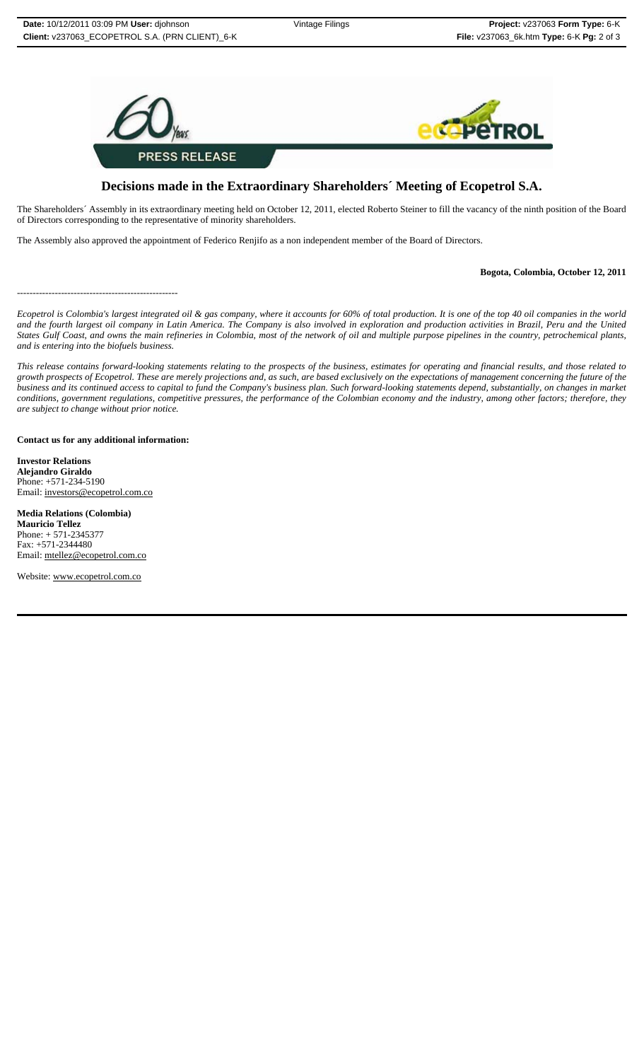

# **Decisions made in the Extraordinary Shareholders´ Meeting of Ecopetrol S.A.**

The Shareholders´ Assembly in its extraordinary meeting held on October 12, 2011, elected Roberto Steiner to fill the vacancy of the ninth position of the Board of Directors corresponding to the representative of minority shareholders.

The Assembly also approved the appointment of Federico Renjifo as a non independent member of the Board of Directors.

### **Bogota, Colombia, October 12, 2011**

---------------------------------------------------

*Ecopetrol is Colombia's largest integrated oil & gas company, where it accounts for 60% of total production. It is one of the top 40 oil companies in the world and the fourth largest oil company in Latin America. The Company is also involved in exploration and production activities in Brazil, Peru and the United States Gulf Coast, and owns the main refineries in Colombia, most of the network of oil and multiple purpose pipelines in the country, petrochemical plants, and is entering into the biofuels business.*

*This release contains forward-looking statements relating to the prospects of the business, estimates for operating and financial results, and those related to growth prospects of Ecopetrol. These are merely projections and, as such, are based exclusively on the expectations of management concerning the future of the business and its continued access to capital to fund the Company's business plan. Such forward-looking statements depend, substantially, on changes in market conditions, government regulations, competitive pressures, the performance of the Colombian economy and the industry, among other factors; therefore, they are subject to change without prior notice.*

**Contact us for any additional information:**

**Investor Relations Alejandro Giraldo** Phone: +571-234-5190 Email: investors@ecopetrol.com.co

**Media Relations (Colombia) Mauricio Tellez** Phone: + 571-2345377 Fax: +571-2344480 Email: mtellez@ecopetrol.com.co

Website: www.ecopetrol.com.co